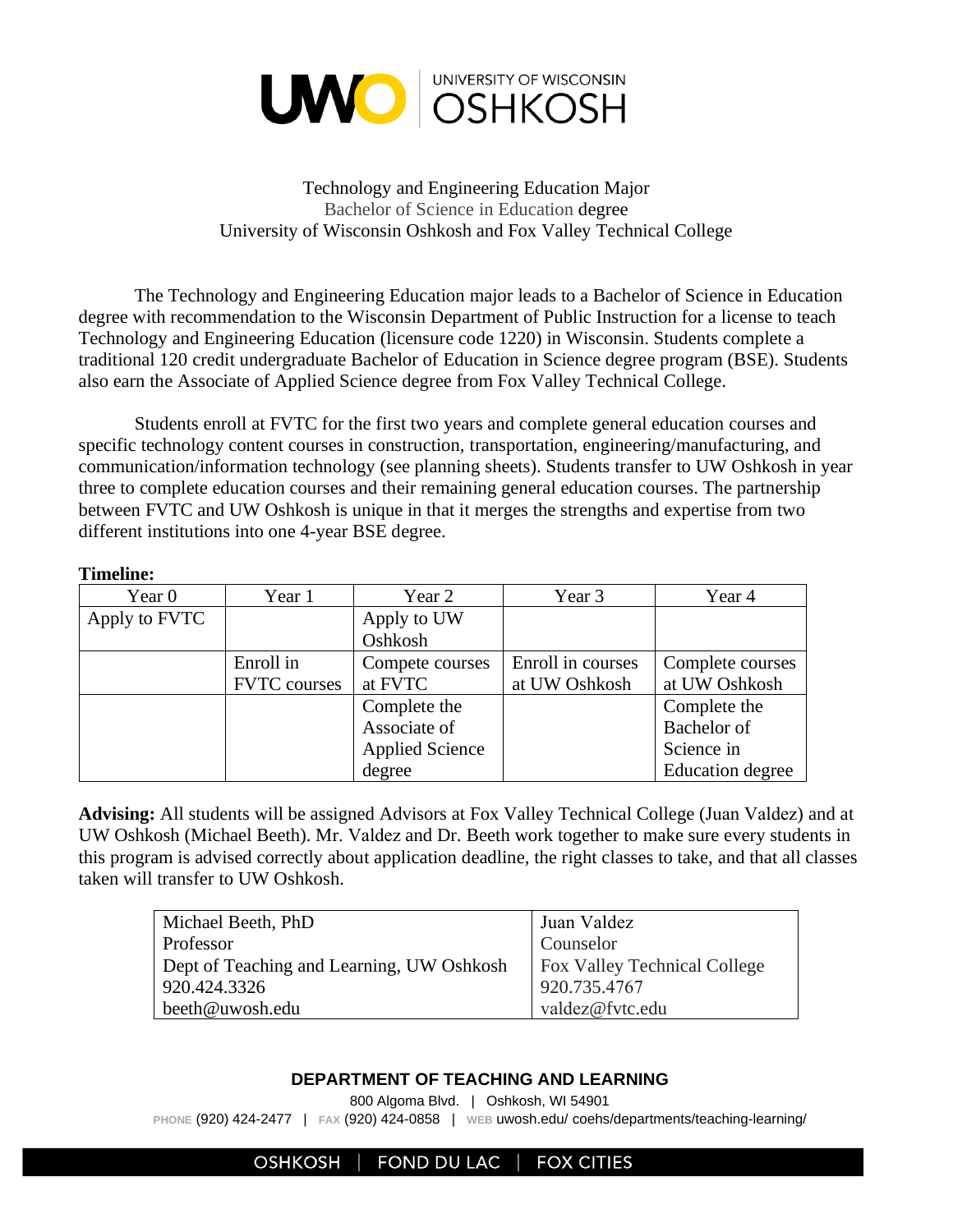

## Technology and Engineering Education Major Bachelor of Science in Education degree University of Wisconsin Oshkosh and Fox Valley Technical College

The Technology and Engineering Education major leads to a Bachelor of Science in Education degree with recommendation to the Wisconsin Department of Public Instruction for a license to teach Technology and Engineering Education (licensure code 1220) in Wisconsin. Students complete a traditional 120 credit undergraduate Bachelor of Education in Science degree program (BSE). Students also earn the Associate of Applied Science degree from Fox Valley Technical College.

Students enroll at FVTC for the first two years and complete general education courses and specific technology content courses in construction, transportation, engineering/manufacturing, and communication/information technology (see planning sheets). Students transfer to UW Oshkosh in year three to complete education courses and their remaining general education courses. The partnership between FVTC and UW Oshkosh is unique in that it merges the strengths and expertise from two different institutions into one 4-year BSE degree.

| <b>Timeline:</b> |  |  |
|------------------|--|--|
|                  |  |  |

| Year 0        | Year 1              | Year 2                 | Year 3            | Year 4           |
|---------------|---------------------|------------------------|-------------------|------------------|
| Apply to FVTC |                     | Apply to UW            |                   |                  |
|               |                     | Oshkosh                |                   |                  |
|               | Enroll in           | Compete courses        | Enroll in courses | Complete courses |
|               | <b>FVTC</b> courses | at FVTC                | at UW Oshkosh     | at UW Oshkosh    |
|               |                     | Complete the           |                   | Complete the     |
|               |                     | Associate of           |                   | Bachelor of      |
|               |                     | <b>Applied Science</b> |                   | Science in       |
|               |                     | degree                 |                   | Education degree |

**Advising:** All students will be assigned Advisors at Fox Valley Technical College (Juan Valdez) and at UW Oshkosh (Michael Beeth). Mr. Valdez and Dr. Beeth work together to make sure every students in this program is advised correctly about application deadline, the right classes to take, and that all classes taken will transfer to UW Oshkosh.

| Michael Beeth, PhD                        | Juan Valdez                         |  |  |
|-------------------------------------------|-------------------------------------|--|--|
| Professor                                 | Counselor                           |  |  |
| Dept of Teaching and Learning, UW Oshkosh | <b>Fox Valley Technical College</b> |  |  |
| 920.424.3326                              | 920.735.4767                        |  |  |
| beeth@uwosh.edu                           | valdez@fvtc.edu                     |  |  |

## **DEPARTMENT OF TEACHING AND LEARNING**

800 Algoma Blvd. | Oshkosh, WI 54901

**PHONE** (920) 424-2477 | **FAX** (920) 424-0858 | **WEB** uwosh.edu/ coehs/departments/teaching-learning/